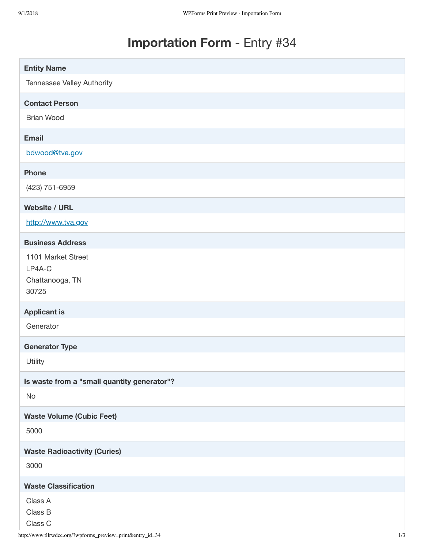## **Importation Form** - Entry #34

| <b>Entity Name</b>                                       |
|----------------------------------------------------------|
| Tennessee Valley Authority                               |
| <b>Contact Person</b>                                    |
| <b>Brian Wood</b>                                        |
| <b>Email</b>                                             |
| bdwood@tva.gov                                           |
| <b>Phone</b>                                             |
| (423) 751-6959                                           |
| <b>Website / URL</b>                                     |
| http://www.tva.gov                                       |
| <b>Business Address</b>                                  |
| 1101 Market Street<br>LP4A-C<br>Chattanooga, TN<br>30725 |
| <b>Applicant is</b>                                      |
| Generator                                                |
| <b>Generator Type</b>                                    |
| Utility                                                  |
| Is waste from a "small quantity generator"?              |
| No                                                       |
| <b>Waste Volume (Cubic Feet)</b>                         |
| 5000                                                     |
| <b>Waste Radioactivity (Curies)</b>                      |
| 3000                                                     |
| <b>Waste Classification</b>                              |
| Class A<br>Class B<br>Class C                            |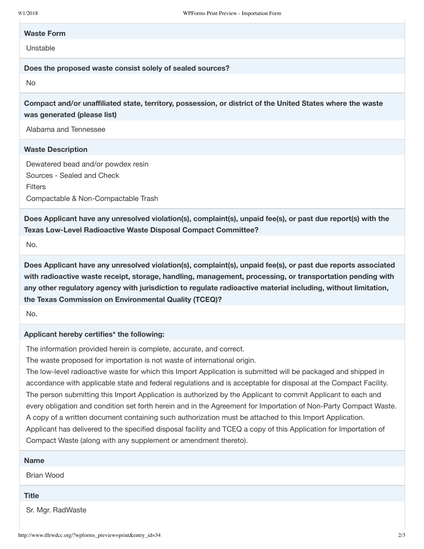## **Waste Form**

Unstable

**Does the proposed waste consist solely of sealed sources?**

No

**Compact and/or unaffiliated state, territory, possession, or district of the United States where the waste was generated (please list)**

Alabama and Tennessee

## **Waste Description**

Dewatered bead and/or powdex resin Sources - Sealed and Check **Filters** Compactable & Non-Compactable Trash

**Does Applicant have any unresolved violation(s), complaint(s), unpaid fee(s), or past due report(s) with the Texas Low-Level Radioactive Waste Disposal Compact Committee?**

No.

**Does Applicant have any unresolved violation(s), complaint(s), unpaid fee(s), or past due reports associated with radioactive waste receipt, storage, handling, management, processing, or transportation pending with any other regulatory agency with jurisdiction to regulate radioactive material including, without limitation, the Texas Commission on Environmental Quality (TCEQ)?**

No.

## **Applicant hereby certifies\* the following:**

The information provided herein is complete, accurate, and correct.

The waste proposed for importation is not waste of international origin.

The low-level radioactive waste for which this Import Application is submitted will be packaged and shipped in accordance with applicable state and federal regulations and is acceptable for disposal at the Compact Facility. The person submitting this Import Application is authorized by the Applicant to commit Applicant to each and every obligation and condition set forth herein and in the Agreement for Importation of Non-Party Compact Waste. A copy of a written document containing such authorization must be attached to this Import Application. Applicant has delivered to the specified disposal facility and TCEQ a copy of this Application for Importation of Compact Waste (along with any supplement or amendment thereto).

| <b>Name</b>       |  |
|-------------------|--|
| <b>Brian Wood</b> |  |
| <b>Title</b>      |  |
| Sr. Mgr. RadWaste |  |